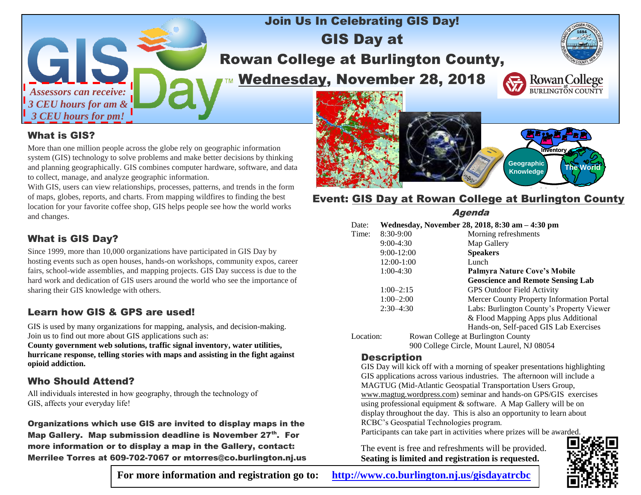

## Join Us In Celebrating GIS Day! GIS Day at Rowan College at Burlington County, Wednesday, November 28, 2018



#### What is GIS?

More than one million people across the globe rely on geographic information system (GIS) technology to solve problems and make better decisions by thinking and planning geographically. GIS combines computer hardware, software, and data to collect, manage, and analyze geographic information.

With GIS, users can view relationships, processes, patterns, and trends in the form of maps, globes, reports, and charts. From mapping wildfires to finding the best location for your favorite coffee shop, GIS helps people see how the world works and changes.

#### What is GIS Day?

Since 1999, more than 10,000 organizations have participated in GIS Day by hosting events such as open houses, hands-on workshops, community expos, career fairs, school-wide assemblies, and mapping projects. GIS Day success is due to the hard work and dedication of GIS users around the world who see the importance of sharing their GIS knowledge with others.

#### Learn how GIS & GPS are used!

GIS is used by many organizations for mapping, analysis, and decision-making. Join us to find out more about GIS applications such as:

**County government web solutions, traffic signal inventory, water utilities, hurricane response, telling stories with maps and assisting in the fight against opioid addiction.**

#### Who Should Attend?

All individuals interested in how geography, through the technology of GIS, affects your everyday life!

Organizations which use GIS are invited to display maps in the Map Gallery. Map submission deadline is November 27<sup>th</sup>. For more information or to display a map in the Gallery, contact: Merrilee Torres at 609-702-7067 or mtorres@co.burlington.nj.us



### **Event: GIS Day at Rowan College at Burlington County**

Agenda

| Date:       | Wednesday, November 28, 2018, 8:30 am - 4:30 pm |                                           |  |  |
|-------------|-------------------------------------------------|-------------------------------------------|--|--|
| Time:       | 8:30-9:00                                       | Morning refreshments                      |  |  |
|             | $9:00-4:30$                                     | Map Gallery                               |  |  |
|             | $9:00-12:00$                                    | <b>Speakers</b>                           |  |  |
|             | 12:00-1:00                                      | Lunch                                     |  |  |
|             | $1:00-4:30$                                     | Palmyra Nature Cove's Mobile              |  |  |
|             |                                                 | <b>Geoscience and Remote Sensing Lab</b>  |  |  |
|             | $1:00-2:15$                                     | <b>GPS Outdoor Field Activity</b>         |  |  |
|             | $1:00 - 2:00$                                   | Mercer County Property Information Portal |  |  |
| $2:30-4:30$ |                                                 | Labs: Burlington County's Property Viewer |  |  |
|             |                                                 | & Flood Mapping Apps plus Additional      |  |  |
|             |                                                 | Hands-on, Self-paced GIS Lab Exercises    |  |  |
| Location:   |                                                 | Rowan College at Burlington County        |  |  |
|             |                                                 |                                           |  |  |

900 College Circle, Mount Laurel, NJ 08054

#### **Description**

GIS Day will kick off with a morning of speaker presentations highlighting GIS applications across various industries. The afternoon will include a MAGTUG (Mid-Atlantic Geospatial Transportation Users Group, www.magtug.wordpress.com) seminar and hands-on GPS/GIS exercises using professional equipment & software. A Map Gallery will be on display throughout the day. This is also an opportunity to learn about RCBC's Geospatial Technologies program.

Participants can take part in activities where prizes will be awarded.

The event is free and refreshments will be provided. **Seating is limited and registration is requested.**



**For more information and registration go to: <http://www.co.burlington.nj.us/gisdayatrcbc>**